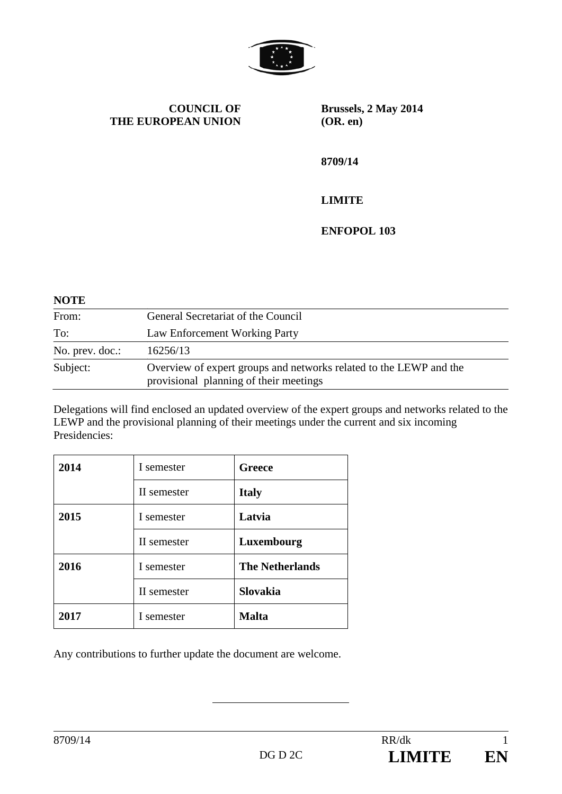

**COUNCIL OF THE EUROPEAN UNION** **Brussels, 2 May 2014 (OR. en)** 

**8709/14** 

## **LIMITE**

**ENFOPOL 103** 

## **NOTE**

| From:           | General Secretariat of the Council                                                                           |
|-----------------|--------------------------------------------------------------------------------------------------------------|
| To:             | Law Enforcement Working Party                                                                                |
| No. prev. doc.: | 16256/13                                                                                                     |
| Subject:        | Overview of expert groups and networks related to the LEWP and the<br>provisional planning of their meetings |

Delegations will find enclosed an updated overview of the expert groups and networks related to the LEWP and the provisional planning of their meetings under the current and six incoming Presidencies:

| 2014 | I semester  | Greece                 |  |  |
|------|-------------|------------------------|--|--|
|      | II semester | <b>Italy</b>           |  |  |
| 2015 | I semester  | Latvia                 |  |  |
|      | II semester | Luxembourg             |  |  |
| 2016 | I semester  | <b>The Netherlands</b> |  |  |
|      | II semester | <b>Slovakia</b>        |  |  |
| 2017 | I semester  | <b>Malta</b>           |  |  |

Any contributions to further update the document are welcome.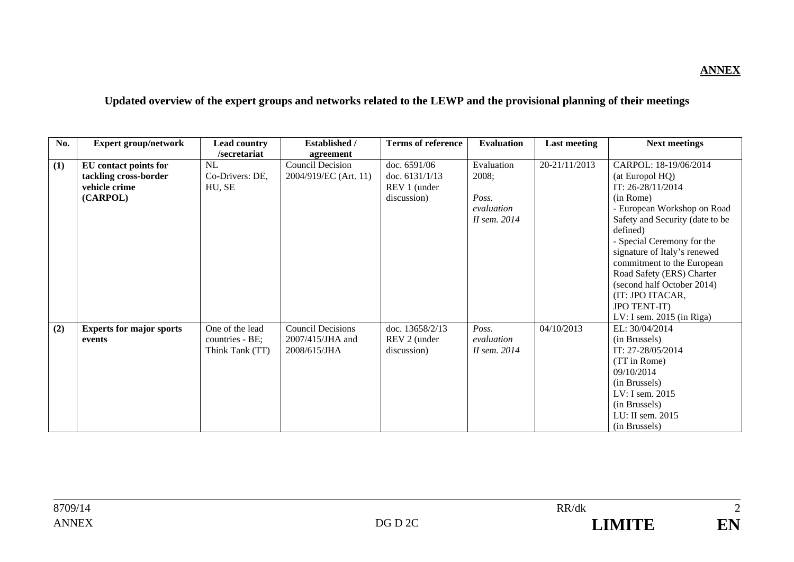## **ANNEX**

## **Updated overview of the expert groups and networks related to the LEWP and the provisional planning of their meetings**

| No. | <b>Expert group/network</b>     | <b>Lead country</b> | <b>Established /</b>     | <b>Terms of reference</b> | <b>Evaluation</b> | <b>Last meeting</b> | <b>Next meetings</b>            |
|-----|---------------------------------|---------------------|--------------------------|---------------------------|-------------------|---------------------|---------------------------------|
|     |                                 | /secretariat        | agreement                |                           |                   |                     |                                 |
| (1) | EU contact points for           | <b>NL</b>           | <b>Council Decision</b>  | doc. 6591/06              | Evaluation        | 20-21/11/2013       | CARPOL: 18-19/06/2014           |
|     | tackling cross-border           | Co-Drivers: DE,     | 2004/919/EC (Art. 11)    | doc. 6131/1/13            | 2008;             |                     | (at Europol HQ)                 |
|     | vehicle crime                   | HU, SE              |                          | REV 1 (under              |                   |                     | IT: 26-28/11/2014               |
|     | (CARPOL)                        |                     |                          | discussion)               | Poss.             |                     | (in Rome)                       |
|     |                                 |                     |                          |                           | evaluation        |                     | - European Workshop on Road     |
|     |                                 |                     |                          |                           | II sem. 2014      |                     | Safety and Security (date to be |
|     |                                 |                     |                          |                           |                   |                     | defined)                        |
|     |                                 |                     |                          |                           |                   |                     | - Special Ceremony for the      |
|     |                                 |                     |                          |                           |                   |                     | signature of Italy's renewed    |
|     |                                 |                     |                          |                           |                   |                     | commitment to the European      |
|     |                                 |                     |                          |                           |                   |                     | Road Safety (ERS) Charter       |
|     |                                 |                     |                          |                           |                   |                     | (second half October 2014)      |
|     |                                 |                     |                          |                           |                   |                     | (IT: JPO ITACAR,                |
|     |                                 |                     |                          |                           |                   |                     | <b>JPO TENT-IT)</b>             |
|     |                                 |                     |                          |                           |                   |                     | LV: I sem. $2015$ (in Riga)     |
| (2) | <b>Experts for major sports</b> | One of the lead     | <b>Council Decisions</b> | doc. 13658/2/13           | Poss.             | 04/10/2013          | EL: 30/04/2014                  |
|     | events                          | countries - BE;     | 2007/415/JHA and         | REV 2 (under              | evaluation        |                     | (in Brussels)                   |
|     |                                 | Think Tank (TT)     | 2008/615/JHA             | discussion)               | II sem. 2014      |                     | IT: 27-28/05/2014               |
|     |                                 |                     |                          |                           |                   |                     | (TT in Rome)                    |
|     |                                 |                     |                          |                           |                   |                     | 09/10/2014                      |
|     |                                 |                     |                          |                           |                   |                     | (in Brussels)                   |
|     |                                 |                     |                          |                           |                   |                     | LV: I sem. 2015                 |
|     |                                 |                     |                          |                           |                   |                     | (in Brussels)                   |
|     |                                 |                     |                          |                           |                   |                     | LU: II sem. 2015                |
|     |                                 |                     |                          |                           |                   |                     | (in Brussels)                   |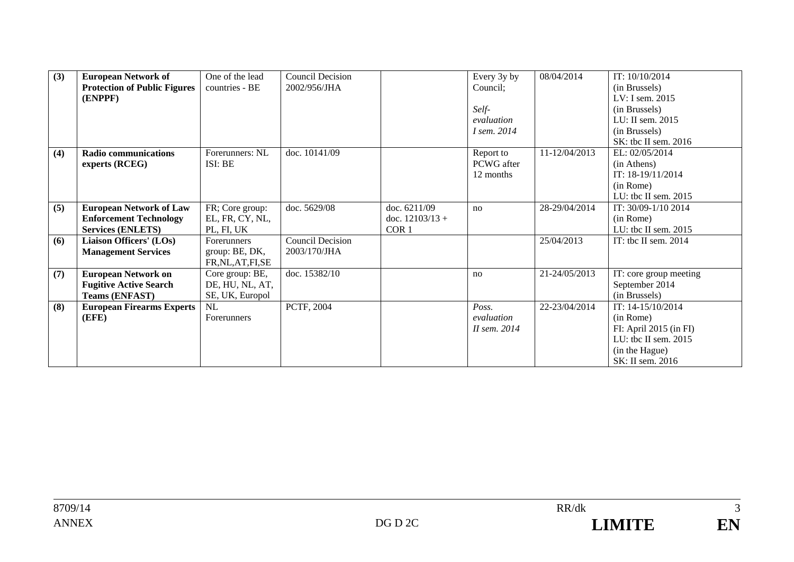| (3) | <b>European Network of</b>          | One of the lead    | <b>Council Decision</b> |                   | Every 3y by        | 08/04/2014    | IT: 10/10/2014         |
|-----|-------------------------------------|--------------------|-------------------------|-------------------|--------------------|---------------|------------------------|
|     | <b>Protection of Public Figures</b> | countries - BE     | 2002/956/JHA            |                   | Council;           |               | (in Brussels)          |
|     | (ENPPF)                             |                    |                         |                   |                    |               | LV: I sem. 2015        |
|     |                                     |                    |                         |                   | Self-              |               | (in Brussels)          |
|     |                                     |                    |                         |                   | evaluation         |               | LU: II sem. 2015       |
|     |                                     |                    |                         |                   | <i>I sem.</i> 2014 |               | (in Brussels)          |
|     |                                     |                    |                         |                   |                    |               | SK: tbc II sem. 2016   |
| (4) | <b>Radio communications</b>         | Forerunners: NL    | doc. 10141/09           |                   | Report to          | 11-12/04/2013 | EL: 02/05/2014         |
|     | experts (RCEG)                      | ISI: BE            |                         |                   | PCWG after         |               | (in Athens)            |
|     |                                     |                    |                         |                   | 12 months          |               | IT: 18-19/11/2014      |
|     |                                     |                    |                         |                   |                    |               | (in Rome)              |
|     |                                     |                    |                         |                   |                    |               | LU: tbc II sem. 2015   |
| (5) | <b>European Network of Law</b>      | FR; Core group:    | doc. 5629/08            | doc. 6211/09      | no                 | 28-29/04/2014 | IT: 30/09-1/10 2014    |
|     | <b>Enforcement Technology</b>       | EL, FR, CY, NL,    |                         | doc. $12103/13 +$ |                    |               | (in Rome)              |
|     | <b>Services (ENLETS)</b>            | PL, FI, UK         |                         | COR <sub>1</sub>  |                    |               | LU: the II sem. $2015$ |
| (6) | Liaison Officers' (LOs)             | Forerunners        | <b>Council Decision</b> |                   |                    | 25/04/2013    | IT: the II sem. $2014$ |
|     | <b>Management Services</b>          | group: BE, DK,     | 2003/170/JHA            |                   |                    |               |                        |
|     |                                     | FR,NL,AT,FI,SE     |                         |                   |                    |               |                        |
| (7) | <b>European Network on</b>          | Core group: BE,    | doc. 15382/10           |                   | no                 | 21-24/05/2013 | IT: core group meeting |
|     | <b>Fugitive Active Search</b>       | DE, HU, NL, AT,    |                         |                   |                    |               | September 2014         |
|     | <b>Teams (ENFAST)</b>               | SE, UK, Europol    |                         |                   |                    |               | (in Brussels)          |
| (8) | <b>European Firearms Experts</b>    | NL                 | PCTF, 2004              |                   | Poss.              | 22-23/04/2014 | IT: 14-15/10/2014      |
|     | (EFE)                               | <b>Forerunners</b> |                         |                   | evaluation         |               | (in Rome)              |
|     |                                     |                    |                         |                   | II sem. 2014       |               | FI: April 2015 (in FI) |
|     |                                     |                    |                         |                   |                    |               | LU: tbc II sem. 2015   |
|     |                                     |                    |                         |                   |                    |               | (in the Hague)         |
|     |                                     |                    |                         |                   |                    |               | SK: II sem. 2016       |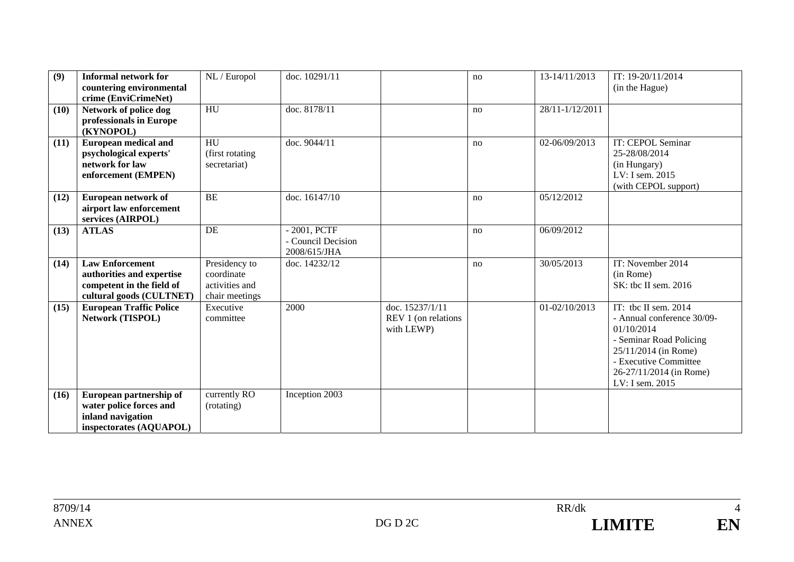| (9)  | <b>Informal network for</b><br>countering environmental<br>crime (EnviCrimeNet)                              | NL / Europol                                                    | doc. 10291/11                                      |                                                      | no | 13-14/11/2013   | IT: 19-20/11/2014<br>(in the Hague)                                                                                                                                                          |
|------|--------------------------------------------------------------------------------------------------------------|-----------------------------------------------------------------|----------------------------------------------------|------------------------------------------------------|----|-----------------|----------------------------------------------------------------------------------------------------------------------------------------------------------------------------------------------|
| (10) | Network of police dog<br>professionals in Europe<br>(KYNOPOL)                                                | HU                                                              | doc. 8178/11                                       |                                                      | no | 28/11-1/12/2011 |                                                                                                                                                                                              |
| (11) | <b>European medical and</b><br>psychological experts'<br>network for law<br>enforcement (EMPEN)              | $\overline{HU}$<br>(first rotating<br>secretariat)              | doc. 9044/11                                       |                                                      | no | 02-06/09/2013   | IT: CEPOL Seminar<br>25-28/08/2014<br>(in Hungary)<br>LV: I sem. 2015<br>(with CEPOL support)                                                                                                |
| (12) | European network of<br>airport law enforcement<br>services (AIRPOL)                                          | <b>BE</b>                                                       | doc. 16147/10                                      |                                                      | no | 05/12/2012      |                                                                                                                                                                                              |
| (13) | <b>ATLAS</b>                                                                                                 | <b>DE</b>                                                       | - 2001, PCTF<br>- Council Decision<br>2008/615/JHA |                                                      | no | 06/09/2012      |                                                                                                                                                                                              |
| (14) | <b>Law Enforcement</b><br>authorities and expertise<br>competent in the field of<br>cultural goods (CULTNET) | Presidency to<br>coordinate<br>activities and<br>chair meetings | doc. 14232/12                                      |                                                      | no | 30/05/2013      | IT: November 2014<br>(in Rome)<br>SK: tbc II sem. 2016                                                                                                                                       |
| (15) | <b>European Traffic Police</b><br>Network (TISPOL)                                                           | Executive<br>committee                                          | 2000                                               | doc. 15237/1/11<br>REV 1 (on relations<br>with LEWP) |    | 01-02/10/2013   | IT: tbc II sem. $2014$<br>- Annual conference 30/09-<br>01/10/2014<br>- Seminar Road Policing<br>25/11/2014 (in Rome)<br>- Executive Committee<br>26-27/11/2014 (in Rome)<br>LV: I sem. 2015 |
| (16) | European partnership of<br>water police forces and<br>inland navigation<br>inspectorates (AQUAPOL)           | currently RO<br>(rotating)                                      | Inception 2003                                     |                                                      |    |                 |                                                                                                                                                                                              |